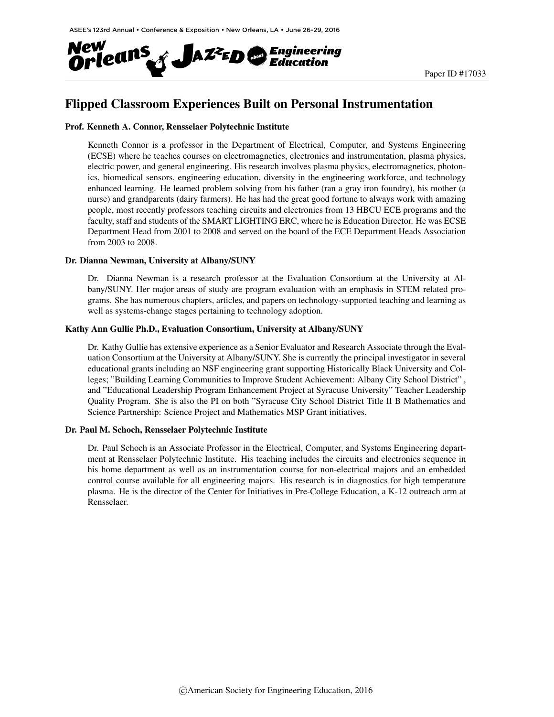

# Flipped Classroom Experiences Built on Personal Instrumentation

### Prof. Kenneth A. Connor, Rensselaer Polytechnic Institute

Kenneth Connor is a professor in the Department of Electrical, Computer, and Systems Engineering (ECSE) where he teaches courses on electromagnetics, electronics and instrumentation, plasma physics, electric power, and general engineering. His research involves plasma physics, electromagnetics, photonics, biomedical sensors, engineering education, diversity in the engineering workforce, and technology enhanced learning. He learned problem solving from his father (ran a gray iron foundry), his mother (a nurse) and grandparents (dairy farmers). He has had the great good fortune to always work with amazing people, most recently professors teaching circuits and electronics from 13 HBCU ECE programs and the faculty, staff and students of the SMART LIGHTING ERC, where he is Education Director. He was ECSE Department Head from 2001 to 2008 and served on the board of the ECE Department Heads Association from 2003 to 2008.

#### Dr. Dianna Newman, University at Albany/SUNY

Dr. Dianna Newman is a research professor at the Evaluation Consortium at the University at Albany/SUNY. Her major areas of study are program evaluation with an emphasis in STEM related programs. She has numerous chapters, articles, and papers on technology-supported teaching and learning as well as systems-change stages pertaining to technology adoption.

### Kathy Ann Gullie Ph.D., Evaluation Consortium, University at Albany/SUNY

Dr. Kathy Gullie has extensive experience as a Senior Evaluator and Research Associate through the Evaluation Consortium at the University at Albany/SUNY. She is currently the principal investigator in several educational grants including an NSF engineering grant supporting Historically Black University and Colleges; "Building Learning Communities to Improve Student Achievement: Albany City School District" , and "Educational Leadership Program Enhancement Project at Syracuse University" Teacher Leadership Quality Program. She is also the PI on both "Syracuse City School District Title II B Mathematics and Science Partnership: Science Project and Mathematics MSP Grant initiatives.

#### Dr. Paul M. Schoch, Rensselaer Polytechnic Institute

Dr. Paul Schoch is an Associate Professor in the Electrical, Computer, and Systems Engineering department at Rensselaer Polytechnic Institute. His teaching includes the circuits and electronics sequence in his home department as well as an instrumentation course for non-electrical majors and an embedded control course available for all engineering majors. His research is in diagnostics for high temperature plasma. He is the director of the Center for Initiatives in Pre-College Education, a K-12 outreach arm at Rensselaer.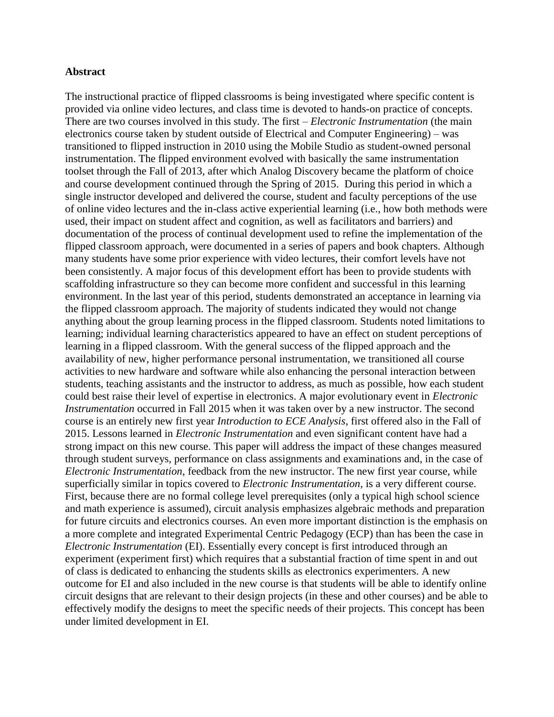### **Abstract**

The instructional practice of flipped classrooms is being investigated where specific content is provided via online video lectures, and class time is devoted to hands-on practice of concepts. There are two courses involved in this study. The first – *Electronic Instrumentation* (the main electronics course taken by student outside of Electrical and Computer Engineering) – was transitioned to flipped instruction in 2010 using the Mobile Studio as student-owned personal instrumentation. The flipped environment evolved with basically the same instrumentation toolset through the Fall of 2013, after which Analog Discovery became the platform of choice and course development continued through the Spring of 2015. During this period in which a single instructor developed and delivered the course, student and faculty perceptions of the use of online video lectures and the in-class active experiential learning (i.e., how both methods were used, their impact on student affect and cognition, as well as facilitators and barriers) and documentation of the process of continual development used to refine the implementation of the flipped classroom approach, were documented in a series of papers and book chapters. Although many students have some prior experience with video lectures, their comfort levels have not been consistently. A major focus of this development effort has been to provide students with scaffolding infrastructure so they can become more confident and successful in this learning environment. In the last year of this period, students demonstrated an acceptance in learning via the flipped classroom approach. The majority of students indicated they would not change anything about the group learning process in the flipped classroom. Students noted limitations to learning; individual learning characteristics appeared to have an effect on student perceptions of learning in a flipped classroom. With the general success of the flipped approach and the availability of new, higher performance personal instrumentation, we transitioned all course activities to new hardware and software while also enhancing the personal interaction between students, teaching assistants and the instructor to address, as much as possible, how each student could best raise their level of expertise in electronics. A major evolutionary event in *Electronic Instrumentation* occurred in Fall 2015 when it was taken over by a new instructor. The second course is an entirely new first year *Introduction to ECE Analysis*, first offered also in the Fall of 2015. Lessons learned in *Electronic Instrumentation* and even significant content have had a strong impact on this new course. This paper will address the impact of these changes measured through student surveys, performance on class assignments and examinations and, in the case of *Electronic Instrumentation*, feedback from the new instructor. The new first year course, while superficially similar in topics covered to *Electronic Instrumentation*, is a very different course. First, because there are no formal college level prerequisites (only a typical high school science and math experience is assumed), circuit analysis emphasizes algebraic methods and preparation for future circuits and electronics courses. An even more important distinction is the emphasis on a more complete and integrated Experimental Centric Pedagogy (ECP) than has been the case in *Electronic Instrumentation* (EI). Essentially every concept is first introduced through an experiment (experiment first) which requires that a substantial fraction of time spent in and out of class is dedicated to enhancing the students skills as electronics experimenters. A new outcome for EI and also included in the new course is that students will be able to identify online circuit designs that are relevant to their design projects (in these and other courses) and be able to effectively modify the designs to meet the specific needs of their projects. This concept has been under limited development in EI.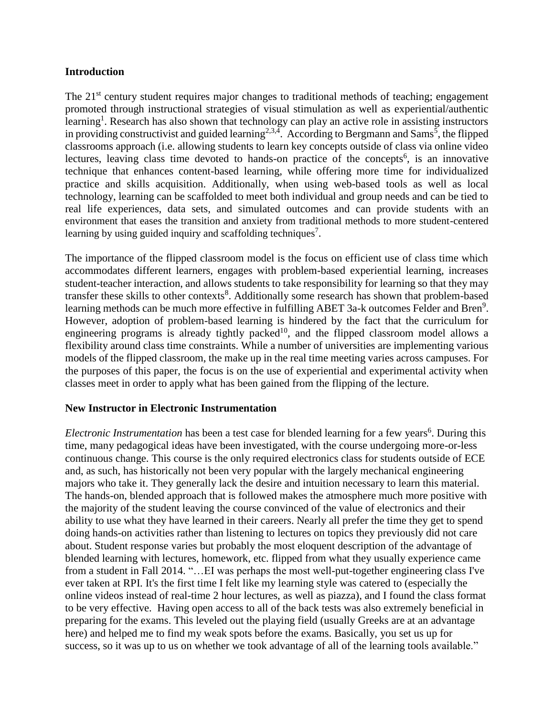### **Introduction**

The 21<sup>st</sup> century student requires major changes to traditional methods of teaching; engagement promoted through instructional strategies of visual stimulation as well as experiential/authentic learning<sup>1</sup>. Research has also shown that technology can play an active role in assisting instructors in providing constructivist and guided learning<sup>2,3,4</sup>. According to Bergmann and Sams<sup>5</sup>, the flipped classrooms approach (i.e. allowing students to learn key concepts outside of class via online video lectures, leaving class time devoted to hands-on practice of the concepts<sup>6</sup>, is an innovative technique that enhances content-based learning, while offering more time for individualized practice and skills acquisition. Additionally, when using web-based tools as well as local technology, learning can be scaffolded to meet both individual and group needs and can be tied to real life experiences, data sets, and simulated outcomes and can provide students with an environment that eases the transition and anxiety from traditional methods to more student-centered learning by using guided inquiry and scaffolding techniques<sup>7</sup>.

The importance of the flipped classroom model is the focus on efficient use of class time which accommodates different learners, engages with problem-based experiential learning, increases student-teacher interaction, and allows students to take responsibility for learning so that they may transfer these skills to other contexts<sup>8</sup>. Additionally some research has shown that problem-based learning methods can be much more effective in fulfilling ABET 3a-k outcomes Felder and Bren<sup>9</sup>. However, adoption of problem-based learning is hindered by the fact that the curriculum for engineering programs is already tightly packed<sup>10</sup>, and the flipped classroom model allows a flexibility around class time constraints. While a number of universities are implementing various models of the flipped classroom, the make up in the real time meeting varies across campuses. For the purposes of this paper, the focus is on the use of experiential and experimental activity when classes meet in order to apply what has been gained from the flipping of the lecture.

## **New Instructor in Electronic Instrumentation**

*Electronic Instrumentation* has been a test case for blended learning for a few years<sup>6</sup>. During this time, many pedagogical ideas have been investigated, with the course undergoing more-or-less continuous change. This course is the only required electronics class for students outside of ECE and, as such, has historically not been very popular with the largely mechanical engineering majors who take it. They generally lack the desire and intuition necessary to learn this material. The hands-on, blended approach that is followed makes the atmosphere much more positive with the majority of the student leaving the course convinced of the value of electronics and their ability to use what they have learned in their careers. Nearly all prefer the time they get to spend doing hands-on activities rather than listening to lectures on topics they previously did not care about. Student response varies but probably the most eloquent description of the advantage of blended learning with lectures, homework, etc. flipped from what they usually experience came from a student in Fall 2014. "…EI was perhaps the most well-put-together engineering class I've ever taken at RPI. It's the first time I felt like my learning style was catered to (especially the online videos instead of real-time 2 hour lectures, as well as piazza), and I found the class format to be very effective. Having open access to all of the back tests was also extremely beneficial in preparing for the exams. This leveled out the playing field (usually Greeks are at an advantage here) and helped me to find my weak spots before the exams. Basically, you set us up for success, so it was up to us on whether we took advantage of all of the learning tools available."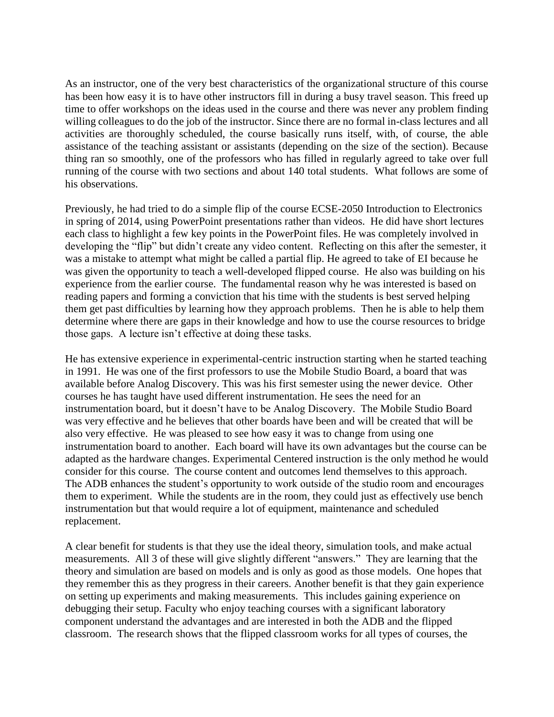As an instructor, one of the very best characteristics of the organizational structure of this course has been how easy it is to have other instructors fill in during a busy travel season. This freed up time to offer workshops on the ideas used in the course and there was never any problem finding willing colleagues to do the job of the instructor. Since there are no formal in-class lectures and all activities are thoroughly scheduled, the course basically runs itself, with, of course, the able assistance of the teaching assistant or assistants (depending on the size of the section). Because thing ran so smoothly, one of the professors who has filled in regularly agreed to take over full running of the course with two sections and about 140 total students. What follows are some of his observations.

Previously, he had tried to do a simple flip of the course ECSE-2050 Introduction to Electronics in spring of 2014, using PowerPoint presentations rather than videos. He did have short lectures each class to highlight a few key points in the PowerPoint files. He was completely involved in developing the "flip" but didn't create any video content. Reflecting on this after the semester, it was a mistake to attempt what might be called a partial flip. He agreed to take of EI because he was given the opportunity to teach a well-developed flipped course. He also was building on his experience from the earlier course. The fundamental reason why he was interested is based on reading papers and forming a conviction that his time with the students is best served helping them get past difficulties by learning how they approach problems. Then he is able to help them determine where there are gaps in their knowledge and how to use the course resources to bridge those gaps. A lecture isn't effective at doing these tasks.

He has extensive experience in experimental-centric instruction starting when he started teaching in 1991. He was one of the first professors to use the Mobile Studio Board, a board that was available before Analog Discovery. This was his first semester using the newer device. Other courses he has taught have used different instrumentation. He sees the need for an instrumentation board, but it doesn't have to be Analog Discovery. The Mobile Studio Board was very effective and he believes that other boards have been and will be created that will be also very effective. He was pleased to see how easy it was to change from using one instrumentation board to another. Each board will have its own advantages but the course can be adapted as the hardware changes. Experimental Centered instruction is the only method he would consider for this course. The course content and outcomes lend themselves to this approach. The ADB enhances the student's opportunity to work outside of the studio room and encourages them to experiment. While the students are in the room, they could just as effectively use bench instrumentation but that would require a lot of equipment, maintenance and scheduled replacement.

A clear benefit for students is that they use the ideal theory, simulation tools, and make actual measurements. All 3 of these will give slightly different "answers." They are learning that the theory and simulation are based on models and is only as good as those models. One hopes that they remember this as they progress in their careers. Another benefit is that they gain experience on setting up experiments and making measurements. This includes gaining experience on debugging their setup. Faculty who enjoy teaching courses with a significant laboratory component understand the advantages and are interested in both the ADB and the flipped classroom. The research shows that the flipped classroom works for all types of courses, the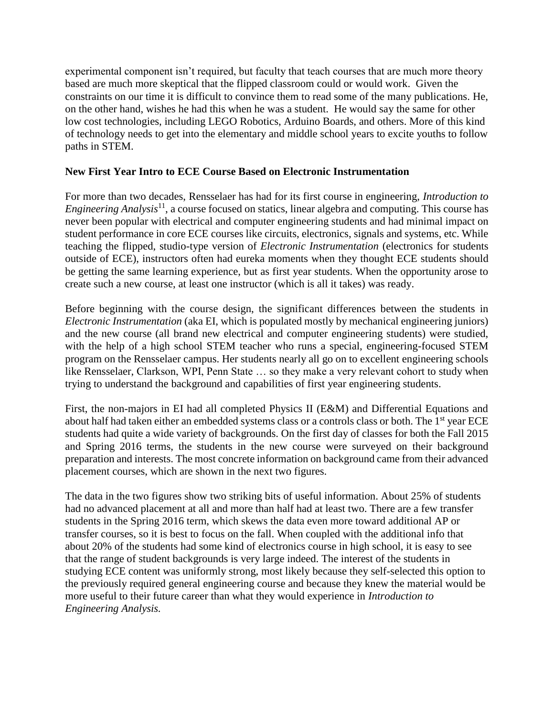experimental component isn't required, but faculty that teach courses that are much more theory based are much more skeptical that the flipped classroom could or would work. Given the constraints on our time it is difficult to convince them to read some of the many publications. He, on the other hand, wishes he had this when he was a student. He would say the same for other low cost technologies, including LEGO Robotics, Arduino Boards, and others. More of this kind of technology needs to get into the elementary and middle school years to excite youths to follow paths in STEM.

## **New First Year Intro to ECE Course Based on Electronic Instrumentation**

For more than two decades, Rensselaer has had for its first course in engineering, *Introduction to Engineering Analysis*<sup>11</sup>, a course focused on statics, linear algebra and computing. This course has never been popular with electrical and computer engineering students and had minimal impact on student performance in core ECE courses like circuits, electronics, signals and systems, etc. While teaching the flipped, studio-type version of *Electronic Instrumentation* (electronics for students outside of ECE), instructors often had eureka moments when they thought ECE students should be getting the same learning experience, but as first year students. When the opportunity arose to create such a new course, at least one instructor (which is all it takes) was ready.

Before beginning with the course design, the significant differences between the students in *Electronic Instrumentation* (aka EI, which is populated mostly by mechanical engineering juniors) and the new course (all brand new electrical and computer engineering students) were studied, with the help of a high school STEM teacher who runs a special, engineering-focused STEM program on the Rensselaer campus. Her students nearly all go on to excellent engineering schools like Rensselaer, Clarkson, WPI, Penn State … so they make a very relevant cohort to study when trying to understand the background and capabilities of first year engineering students.

First, the non-majors in EI had all completed Physics II (E&M) and Differential Equations and about half had taken either an embedded systems class or a controls class or both. The 1<sup>st</sup> year ECE students had quite a wide variety of backgrounds. On the first day of classes for both the Fall 2015 and Spring 2016 terms, the students in the new course were surveyed on their background preparation and interests. The most concrete information on background came from their advanced placement courses, which are shown in the next two figures.

The data in the two figures show two striking bits of useful information. About 25% of students had no advanced placement at all and more than half had at least two. There are a few transfer students in the Spring 2016 term, which skews the data even more toward additional AP or transfer courses, so it is best to focus on the fall. When coupled with the additional info that about 20% of the students had some kind of electronics course in high school, it is easy to see that the range of student backgrounds is very large indeed. The interest of the students in studying ECE content was uniformly strong, most likely because they self-selected this option to the previously required general engineering course and because they knew the material would be more useful to their future career than what they would experience in *Introduction to Engineering Analysis.*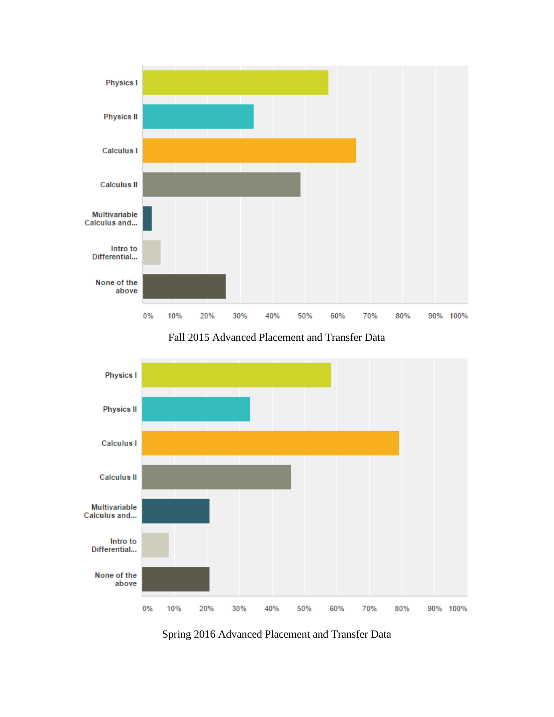

Fall 2015 Advanced Placement and Transfer Data



Spring 2016 Advanced Placement and Transfer Data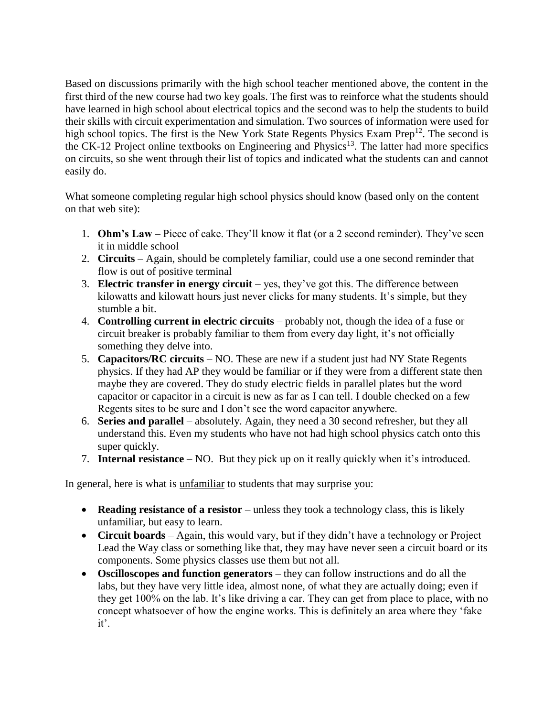Based on discussions primarily with the high school teacher mentioned above, the content in the first third of the new course had two key goals. The first was to reinforce what the students should have learned in high school about electrical topics and the second was to help the students to build their skills with circuit experimentation and simulation. Two sources of information were used for high school topics. The first is the New York State Regents Physics Exam Prep<sup>12</sup>. The second is the CK-12 Project online textbooks on Engineering and Physics<sup>13</sup>. The latter had more specifics on circuits, so she went through their list of topics and indicated what the students can and cannot easily do.

What someone completing regular high school physics should know (based only on the content on that web site):

- 1. **Ohm's Law** Piece of cake. They'll know it flat (or a 2 second reminder). They've seen it in middle school
- 2. **Circuits** Again, should be completely familiar, could use a one second reminder that flow is out of positive terminal
- 3. **Electric transfer in energy circuit** yes, they've got this. The difference between kilowatts and kilowatt hours just never clicks for many students. It's simple, but they stumble a bit.
- 4. **Controlling current in electric circuits** probably not, though the idea of a fuse or circuit breaker is probably familiar to them from every day light, it's not officially something they delve into.
- 5. **Capacitors/RC circuits** NO. These are new if a student just had NY State Regents physics. If they had AP they would be familiar or if they were from a different state then maybe they are covered. They do study electric fields in parallel plates but the word capacitor or capacitor in a circuit is new as far as I can tell. I double checked on a few Regents sites to be sure and I don't see the word capacitor anywhere.
- 6. **Series and parallel** absolutely. Again, they need a 30 second refresher, but they all understand this. Even my students who have not had high school physics catch onto this super quickly.
- 7. **Internal resistance** NO. But they pick up on it really quickly when it's introduced.

In general, here is what is unfamiliar to students that may surprise you:

- **Reading resistance of a resistor** unless they took a technology class, this is likely unfamiliar, but easy to learn.
- **Circuit boards** Again, this would vary, but if they didn't have a technology or Project Lead the Way class or something like that, they may have never seen a circuit board or its components. Some physics classes use them but not all.
- **Oscilloscopes and function generators** they can follow instructions and do all the labs, but they have very little idea, almost none, of what they are actually doing; even if they get 100% on the lab. It's like driving a car. They can get from place to place, with no concept whatsoever of how the engine works. This is definitely an area where they 'fake it'.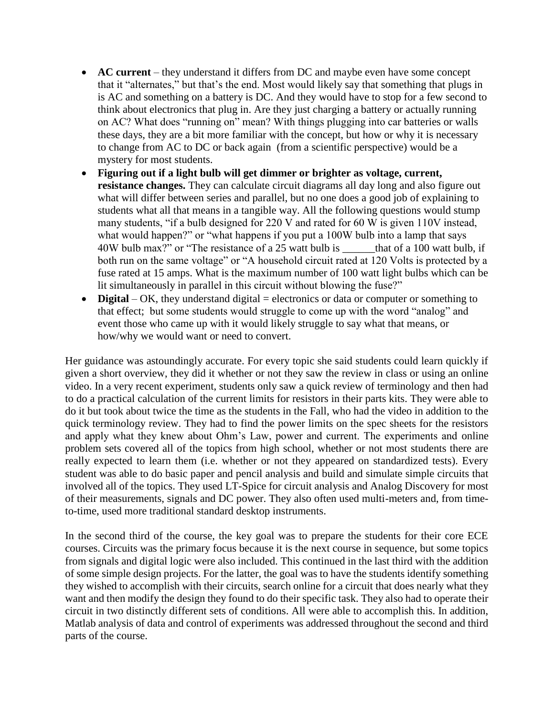- **AC current** they understand it differs from DC and maybe even have some concept that it "alternates," but that's the end. Most would likely say that something that plugs in is AC and something on a battery is DC. And they would have to stop for a few second to think about electronics that plug in. Are they just charging a battery or actually running on AC? What does "running on" mean? With things plugging into car batteries or walls these days, they are a bit more familiar with the concept, but how or why it is necessary to change from AC to DC or back again (from a scientific perspective) would be a mystery for most students.
- **Figuring out if a light bulb will get dimmer or brighter as voltage, current, resistance changes.** They can calculate circuit diagrams all day long and also figure out what will differ between series and parallel, but no one does a good job of explaining to students what all that means in a tangible way. All the following questions would stump many students, "if a bulb designed for 220 V and rated for 60 W is given 110V instead, what would happen?" or "what happens if you put a 100W bulb into a lamp that says 40W bulb max?" or "The resistance of a 25 watt bulb is \_\_\_\_\_\_that of a 100 watt bulb, if both run on the same voltage" or "A household circuit rated at 120 Volts is protected by a fuse rated at 15 amps. What is the maximum number of 100 watt light bulbs which can be lit simultaneously in parallel in this circuit without blowing the fuse?"
- **Digital** OK, they understand digital = electronics or data or computer or something to that effect; but some students would struggle to come up with the word "analog" and event those who came up with it would likely struggle to say what that means, or how/why we would want or need to convert.

Her guidance was astoundingly accurate. For every topic she said students could learn quickly if given a short overview, they did it whether or not they saw the review in class or using an online video. In a very recent experiment, students only saw a quick review of terminology and then had to do a practical calculation of the current limits for resistors in their parts kits. They were able to do it but took about twice the time as the students in the Fall, who had the video in addition to the quick terminology review. They had to find the power limits on the spec sheets for the resistors and apply what they knew about Ohm's Law, power and current. The experiments and online problem sets covered all of the topics from high school, whether or not most students there are really expected to learn them (i.e. whether or not they appeared on standardized tests). Every student was able to do basic paper and pencil analysis and build and simulate simple circuits that involved all of the topics. They used LT-Spice for circuit analysis and Analog Discovery for most of their measurements, signals and DC power. They also often used multi-meters and, from timeto-time, used more traditional standard desktop instruments.

In the second third of the course, the key goal was to prepare the students for their core ECE courses. Circuits was the primary focus because it is the next course in sequence, but some topics from signals and digital logic were also included. This continued in the last third with the addition of some simple design projects. For the latter, the goal was to have the students identify something they wished to accomplish with their circuits, search online for a circuit that does nearly what they want and then modify the design they found to do their specific task. They also had to operate their circuit in two distinctly different sets of conditions. All were able to accomplish this. In addition, Matlab analysis of data and control of experiments was addressed throughout the second and third parts of the course.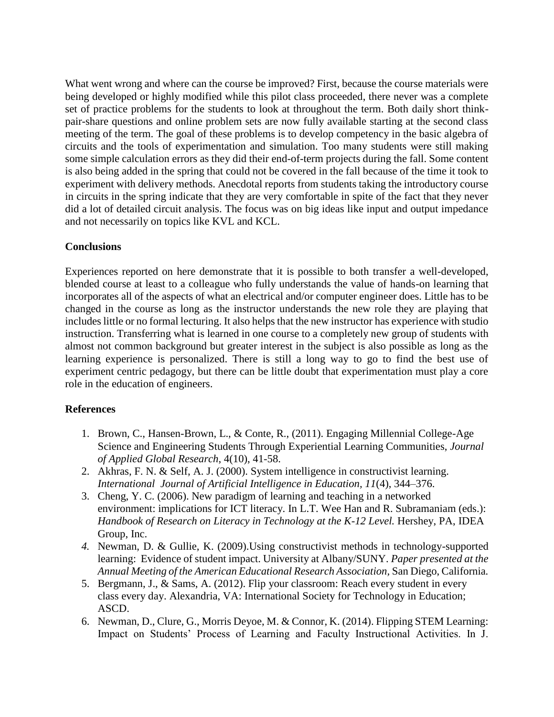What went wrong and where can the course be improved? First, because the course materials were being developed or highly modified while this pilot class proceeded, there never was a complete set of practice problems for the students to look at throughout the term. Both daily short thinkpair-share questions and online problem sets are now fully available starting at the second class meeting of the term. The goal of these problems is to develop competency in the basic algebra of circuits and the tools of experimentation and simulation. Too many students were still making some simple calculation errors as they did their end-of-term projects during the fall. Some content is also being added in the spring that could not be covered in the fall because of the time it took to experiment with delivery methods. Anecdotal reports from students taking the introductory course in circuits in the spring indicate that they are very comfortable in spite of the fact that they never did a lot of detailed circuit analysis. The focus was on big ideas like input and output impedance and not necessarily on topics like KVL and KCL.

## **Conclusions**

Experiences reported on here demonstrate that it is possible to both transfer a well-developed, blended course at least to a colleague who fully understands the value of hands-on learning that incorporates all of the aspects of what an electrical and/or computer engineer does. Little has to be changed in the course as long as the instructor understands the new role they are playing that includes little or no formal lecturing. It also helps that the new instructor has experience with studio instruction. Transferring what is learned in one course to a completely new group of students with almost not common background but greater interest in the subject is also possible as long as the learning experience is personalized. There is still a long way to go to find the best use of experiment centric pedagogy, but there can be little doubt that experimentation must play a core role in the education of engineers.

## **References**

- 1. Brown, C., Hansen-Brown, L., & Conte, R., (2011). Engaging Millennial College-Age Science and Engineering Students Through Experiential Learning Communities, *Journal of Applied Global Research*, 4(10), 41-58.
- 2. Akhras, F. N. & Self, A. J. (2000). System intelligence in constructivist learning. *International Journal of Artificial Intelligence in Education, 11*(4), 344–376.
- 3. Cheng, Y. C. (2006). New paradigm of learning and teaching in a networked environment: implications for ICT literacy. In L.T. Wee Han and R. Subramaniam (eds.): *Handbook of Research on Literacy in Technology at the K-12 Level.* Hershey, PA, IDEA Group, Inc.
- *4.* Newman, D. & Gullie, K. (2009).Using constructivist methods in technology-supported learning: Evidence of student impact. University at Albany/SUNY. *Paper presented at the Annual Meeting of the American Educational Research Association,* San Diego, California*.*
- 5. Bergmann, J., & Sams, A. (2012). Flip your classroom: Reach every student in every class every day. Alexandria, VA: International Society for Technology in Education; ASCD.
- 6. Newman, D., Clure, G., Morris Deyoe, M. & Connor, K. (2014). Flipping STEM Learning: Impact on Students' Process of Learning and Faculty Instructional Activities. In J.